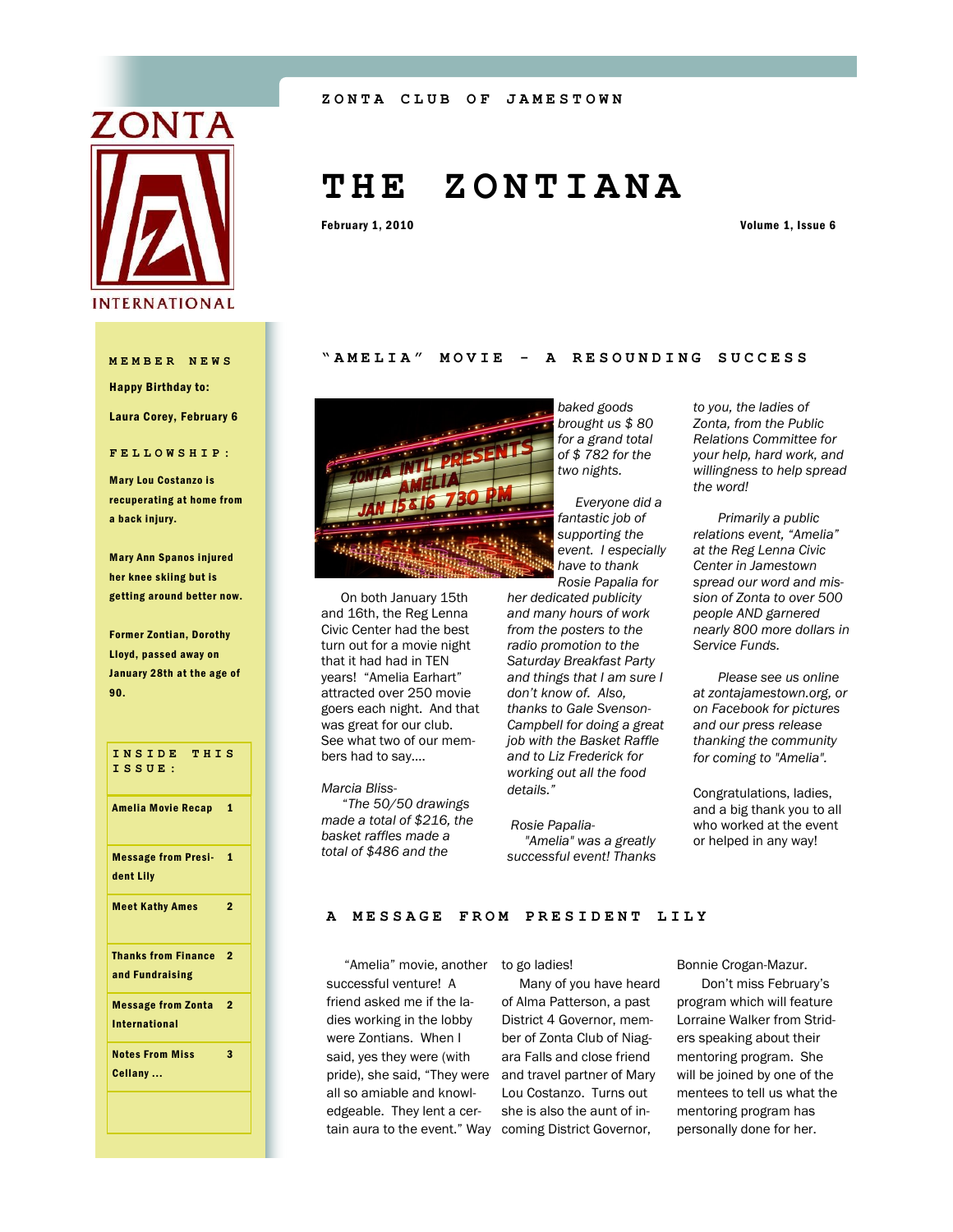

Happy Birthday to:

Laura Corey, February 6

**FELLOWSHIP:**

Mary Lou Costanzo is recuperating at home from a back injury.

Mary Ann Spanos injured her knee skiing but is getting around better now.

Former Zontian, Dorothy Lloyd, passed away on January 28th at the age of 90.

**INSIDE THIS ISSUE:** Amelia Movie Recap 1 Message from Presi-1 dent Lily Meet Kathy Ames 2 Thanks from Finance 2 and Fundraising Message from Zonta 2 International Notes From Miss Cellany ... 3

# **T H E Z O N T I A N A**

February 1, 2010 Volume 1, Issue 6

### **MEMBER NEWS "AMELIA" MOVIE - A R E S O U N D I N G S U C C E S S**



 On both January 15th and 16th, the Reg Lenna Civic Center had the best turn out for a movie night that it had had in TEN years! "Amelia Earhart" attracted over 250 movie goers each night. And that was great for our club. See what two of our members had to say….

*Marcia Bliss-* "*The 50/50 drawings made a total of \$216, the basket raffles made a total of \$486 and the* 

*baked goods brought us \$ 80 for a grand total of \$ 782 for the two nights.* 

 *Everyone did a fantastic job of supporting the event. I especially have to thank Rosie Papalia for* 

*her dedicated publicity and many hours of work from the posters to the radio promotion to the Saturday Breakfast Party and things that I am sure I don't know of. Also, thanks to Gale Svenson-Campbell for doing a great job with the Basket Raffle and to Liz Frederick for working out all the food details."*

*Rosie Papalia- "Amelia" was a greatly successful event! Thanks*  *to you, the ladies of Zonta, from the Public Relations Committee for your help, hard work, and willingness to help spread the word!*

 *Primarily a public relations event, "Amelia" at the Reg Lenna Civic Center in Jamestown spread our word and mission of Zonta to over 500 people AND garnered nearly 800 more dollars in Service Funds.*

 *Please see us online at zontajamestown.org, or on Facebook for pictures and our press release thanking the community for coming to "Amelia".*

Congratulations, ladies, and a big thank you to all who worked at the event or helped in any way!

#### **A MESSAGE FROM PRESI D E N T L I L Y**

 "Amelia" movie, another to go ladies! successful venture! A friend asked me if the ladies working in the lobby were Zontians. When I said, yes they were (with pride), she said, "They were and travel partner of Mary all so amiable and knowledgeable. They lent a cer-

tain aura to the event." Way coming District Governor, Many of you have heard of Alma Patterson, a past District 4 Governor, member of Zonta Club of Niagara Falls and close friend Lou Costanzo. Turns out she is also the aunt of inBonnie Crogan-Mazur.

 Don't miss February's program which will feature Lorraine Walker from Striders speaking about their mentoring program. She will be joined by one of the mentees to tell us what the mentoring program has personally done for her.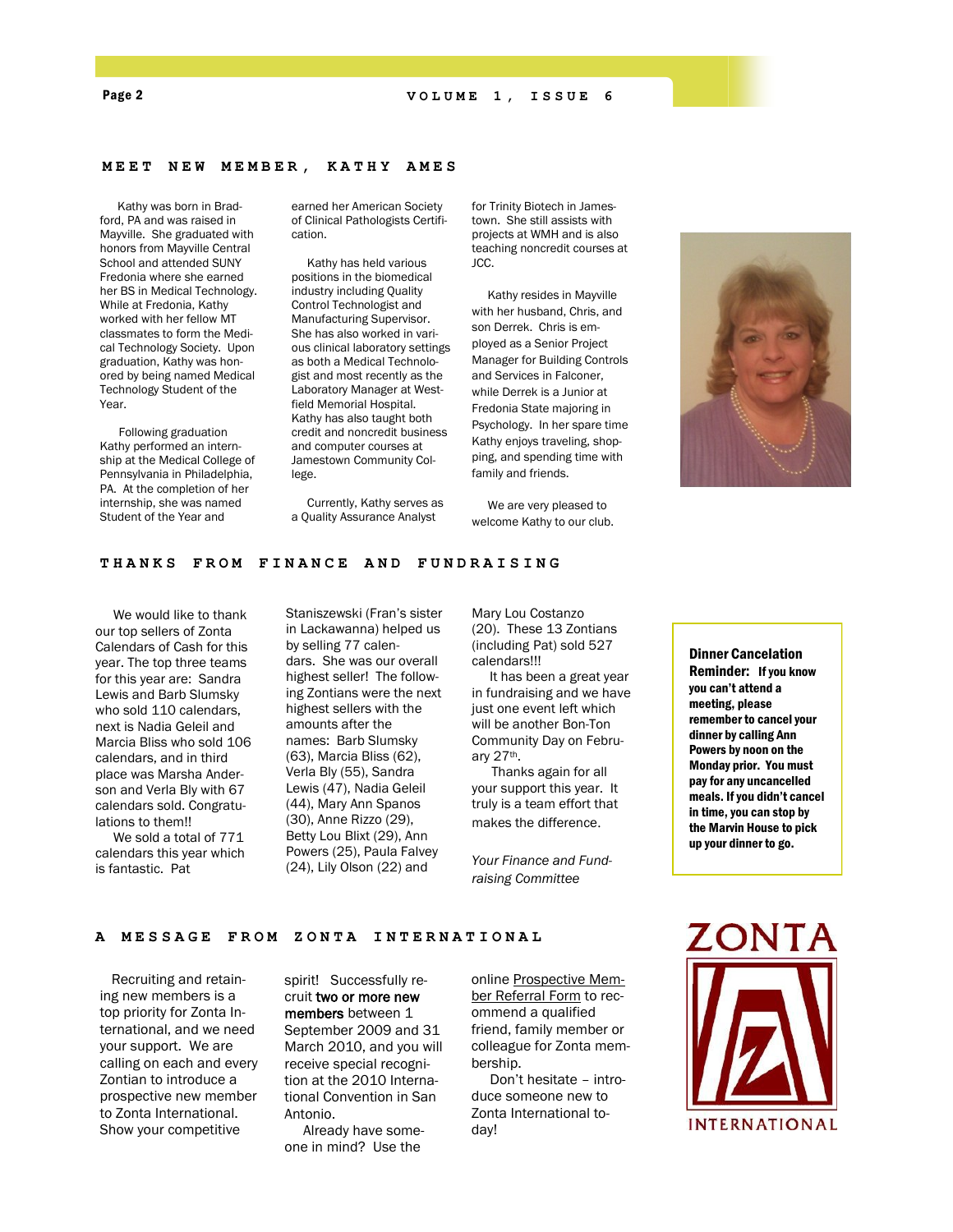#### **MEET NEW MEMBER, KATHY AMES**

 Kathy was born in Bradford, PA and was raised in Mayville. She graduated with honors from Mayville Central School and attended SUNY Fredonia where she earned her BS in Medical Technology. While at Fredonia, Kathy worked with her fellow MT classmates to form the Medical Technology Society. Upon graduation, Kathy was honored by being named Medical Technology Student of the Year.

 Following graduation Kathy performed an internship at the Medical College of Pennsylvania in Philadelphia, PA. At the completion of her internship, she was named Student of the Year and

earned her American Society of Clinical Pathologists Certification.

 Kathy has held various positions in the biomedical industry including Quality Control Technologist and Manufacturing Supervisor. She has also worked in various clinical laboratory settings as both a Medical Technologist and most recently as the Laboratory Manager at Westfield Memorial Hospital. Kathy has also taught both credit and noncredit business and computer courses at Jamestown Community College.

 Currently, Kathy serves as a Quality Assurance Analyst

for Trinity Biotech in Jamestown. She still assists with projects at WMH and is also teaching noncredit courses at JCC.

 Kathy resides in Mayville with her husband, Chris, and son Derrek. Chris is employed as a Senior Project Manager for Building Controls and Services in Falconer, while Derrek is a Junior at Fredonia State majoring in Psychology. In her spare time Kathy enjoys traveling, shopping, and spending time with family and friends.

 We are very pleased to welcome Kathy to our club.



#### THANKS FROM FINANCE AND FUNDRAISING

 We would like to thank our top sellers of Zonta Calendars of Cash for this year. The top three teams for this year are: Sandra Lewis and Barb Slumsky who sold 110 calendars, next is Nadia Geleil and Marcia Bliss who sold 106 calendars, and in third place was Marsha Anderson and Verla Bly with 67 calendars sold. Congratulations to them!!

 We sold a total of 771 calendars this year which is fantastic. Pat

Staniszewski (Fran's sister in Lackawanna) helped us by selling 77 calendars. She was our overall highest seller! The following Zontians were the next highest sellers with the amounts after the names: Barb Slumsky (63), Marcia Bliss (62), Verla Bly (55), Sandra Lewis (47), Nadia Geleil (44), Mary Ann Spanos (30), Anne Rizzo (29), Betty Lou Blixt (29), Ann Powers (25), Paula Falvey (24), Lily Olson (22) and

Mary Lou Costanzo (20). These 13 Zontians (including Pat) sold 527 calendars!!!

 It has been a great year in fundraising and we have just one event left which will be another Bon-Ton Community Day on February 27th.

 Thanks again for all your support this year. It truly is a team effort that makes the difference.

*Your Finance and Fundraising Committee*

Dinner Cancelation Reminder: If you know you can't attend a meeting, please remember to cancel your dinner by calling Ann Powers by noon on the Monday prior. You must pay for any uncancelled meals. If you didn't cancel in time, you can stop by the Marvin House to pick up your dinner to go.

**A MESSAGE FROM ZONTA INTERNATIONAL** 

 Recruiting and retaining new members is a top priority for Zonta International, and we need your support. We are calling on each and every Zontian to introduce a prospective new member to Zonta International. Show your competitive

spirit! Successfully recruit two or more new members between 1 September 2009 and 31 March 2010, and you will receive special recognition at the 2010 Interna-

tional Convention in San Antonio. Already have some-

one in mind? Use the

online [Prospective Mem](http://www.zonta.org/site/Survey?SURVEY_ID=2960&ACTION_REQUIRED=URI_ACTION_USER_REQUESTS)[ber Referral Form](http://www.zonta.org/site/Survey?SURVEY_ID=2960&ACTION_REQUIRED=URI_ACTION_USER_REQUESTS) to recommend a qualified friend, family member or colleague for Zonta membership.

 Don't hesitate – introduce someone new to Zonta International today!